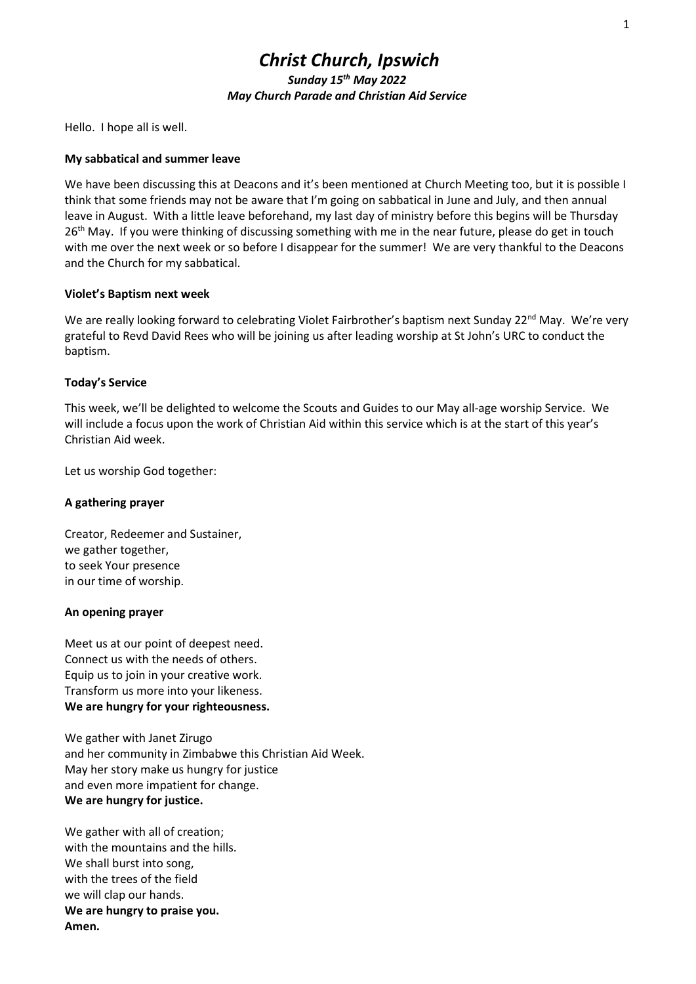# Christ Church, Ipswich Sunday 15<sup>th</sup> May 2022 May Church Parade and Christian Aid Service

Hello. I hope all is well.

### My sabbatical and summer leave

We have been discussing this at Deacons and it's been mentioned at Church Meeting too, but it is possible I think that some friends may not be aware that I'm going on sabbatical in June and July, and then annual leave in August. With a little leave beforehand, my last day of ministry before this begins will be Thursday 26<sup>th</sup> May. If you were thinking of discussing something with me in the near future, please do get in touch with me over the next week or so before I disappear for the summer! We are very thankful to the Deacons and the Church for my sabbatical.

### Violet's Baptism next week

We are really looking forward to celebrating Violet Fairbrother's baptism next Sunday 22<sup>nd</sup> May. We're very grateful to Revd David Rees who will be joining us after leading worship at St John's URC to conduct the baptism.

### Today's Service

This week, we'll be delighted to welcome the Scouts and Guides to our May all-age worship Service. We will include a focus upon the work of Christian Aid within this service which is at the start of this year's Christian Aid week.

Let us worship God together:

# A gathering prayer

Creator, Redeemer and Sustainer, we gather together, to seek Your presence in our time of worship.

### An opening prayer

Meet us at our point of deepest need. Connect us with the needs of others. Equip us to join in your creative work. Transform us more into your likeness. We are hungry for your righteousness.

We gather with Janet Zirugo and her community in Zimbabwe this Christian Aid Week. May her story make us hungry for justice and even more impatient for change. We are hungry for justice.

We gather with all of creation; with the mountains and the hills. We shall burst into song. with the trees of the field we will clap our hands. We are hungry to praise you. Amen.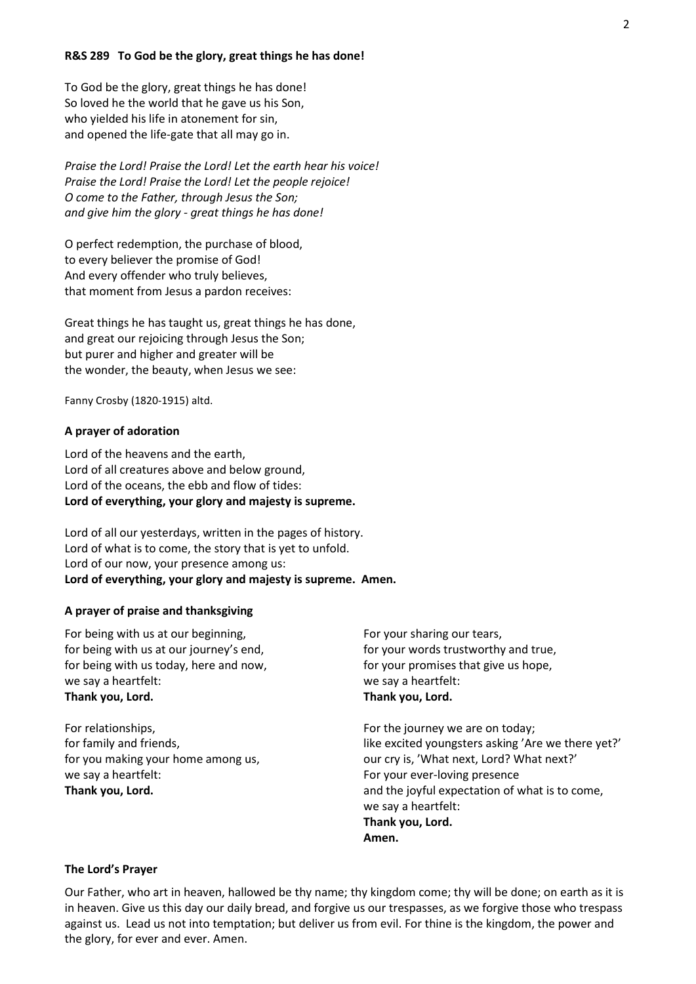#### R&S 289 To God be the glory, great things he has done!

To God be the glory, great things he has done! So loved he the world that he gave us his Son, who yielded his life in atonement for sin, and opened the life-gate that all may go in.

Praise the Lord! Praise the Lord! Let the earth hear his voice! Praise the Lord! Praise the Lord! Let the people rejoice! O come to the Father, through Jesus the Son; and give him the glory - great things he has done!

O perfect redemption, the purchase of blood, to every believer the promise of God! And every offender who truly believes, that moment from Jesus a pardon receives:

Great things he has taught us, great things he has done, and great our rejoicing through Jesus the Son; but purer and higher and greater will be the wonder, the beauty, when Jesus we see:

Fanny Crosby (1820-1915) altd.

#### A prayer of adoration

Lord of the heavens and the earth, Lord of all creatures above and below ground, Lord of the oceans, the ebb and flow of tides: Lord of everything, your glory and majesty is supreme.

Lord of all our yesterdays, written in the pages of history. Lord of what is to come, the story that is yet to unfold. Lord of our now, your presence among us: Lord of everything, your glory and majesty is supreme. Amen.

#### A prayer of praise and thanksgiving

For being with us at our beginning, for being with us at our journey's end, for being with us today, here and now, we say a heartfelt: Thank you, Lord.

For relationships, for family and friends, for you making your home among us, we say a heartfelt: Thank you, Lord.

For your sharing our tears, for your words trustworthy and true, for your promises that give us hope, we say a heartfelt: Thank you, Lord.

For the journey we are on today; like excited youngsters asking 'Are we there yet?' our cry is, 'What next, Lord? What next?' For your ever-loving presence and the joyful expectation of what is to come, we say a heartfelt: Thank you, Lord. Amen.

#### The Lord's Prayer

Our Father, who art in heaven, hallowed be thy name; thy kingdom come; thy will be done; on earth as it is in heaven. Give us this day our daily bread, and forgive us our trespasses, as we forgive those who trespass against us. Lead us not into temptation; but deliver us from evil. For thine is the kingdom, the power and the glory, for ever and ever. Amen.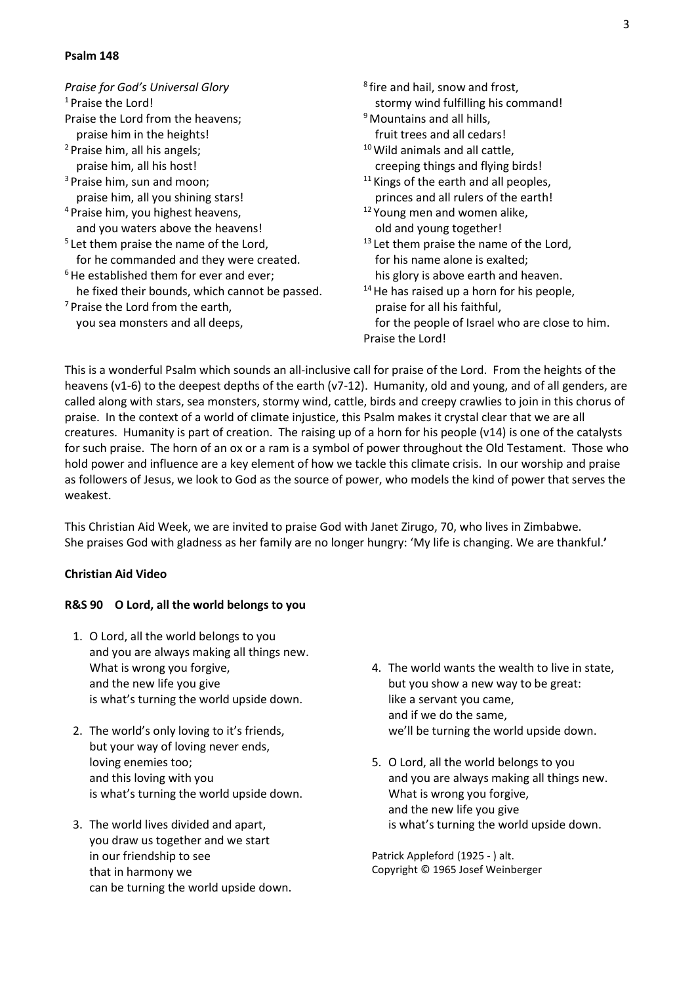### Psalm 148

| Praise for God's Universal Glory                    | 8. |
|-----------------------------------------------------|----|
| <sup>1</sup> Praise the Lord!                       |    |
| Praise the Lord from the heavens;                   | 9  |
| praise him in the heights!                          |    |
| <sup>2</sup> Praise him, all his angels;            | 10 |
| praise him, all his host!                           |    |
| <sup>3</sup> Praise him, sun and moon;              | 11 |
| praise him, all you shining stars!                  |    |
| <sup>4</sup> Praise him, you highest heavens,       | 12 |
| and you waters above the heavens!                   |    |
| <sup>5</sup> Let them praise the name of the Lord,  | 13 |
| for he commanded and they were created.             |    |
| <sup>6</sup> He established them for ever and ever; |    |
| he fixed their bounds, which cannot be passed.      | 14 |
| <sup>7</sup> Praise the Lord from the earth,        |    |
| you sea monsters and all deeps,                     |    |
|                                                     | P  |

- fire and hail, snow and frost, stormy wind fulfilling his command! Mountains and all hills.
- fruit trees and all cedars!  $<sup>1</sup>$  Wild animals and all cattle.</sup>
- creeping things and flying birds!
- Kings of the earth and all peoples, princes and all rulers of the earth!
- Young men and women alike, old and young together!
- Let them praise the name of the Lord, for his name alone is exalted; his glory is above earth and heaven.
- <sup>14</sup>He has raised up a horn for his people, praise for all his faithful, for the people of Israel who are close to him. raise the Lord!

This is a wonderful Psalm which sounds an all-inclusive call for praise of the Lord. From the heights of the heavens (v1-6) to the deepest depths of the earth (v7-12). Humanity, old and young, and of all genders, are called along with stars, sea monsters, stormy wind, cattle, birds and creepy crawlies to join in this chorus of praise. In the context of a world of climate injustice, this Psalm makes it crystal clear that we are all creatures. Humanity is part of creation. The raising up of a horn for his people (v14) is one of the catalysts for such praise. The horn of an ox or a ram is a symbol of power throughout the Old Testament. Those who hold power and influence are a key element of how we tackle this climate crisis. In our worship and praise as followers of Jesus, we look to God as the source of power, who models the kind of power that serves the weakest.

This Christian Aid Week, we are invited to praise God with Janet Zirugo, 70, who lives in Zimbabwe. She praises God with gladness as her family are no longer hungry: 'My life is changing. We are thankful.'

# Christian Aid Video

# R&S 90 O Lord, all the world belongs to you

- 1. O Lord, all the world belongs to you and you are always making all things new. What is wrong you forgive, and the new life you give is what's turning the world upside down.
- 2. The world's only loving to it's friends, but your way of loving never ends, loving enemies too; and this loving with you is what's turning the world upside down.
- 3. The world lives divided and apart, you draw us together and we start in our friendship to see that in harmony we can be turning the world upside down.
- 4. The world wants the wealth to live in state, but you show a new way to be great: like a servant you came, and if we do the same, we'll be turning the world upside down.
- 5. O Lord, all the world belongs to you and you are always making all things new. What is wrong you forgive, and the new life you give is what's turning the world upside down.

Patrick Appleford (1925 - ) alt. Copyright © 1965 Josef Weinberger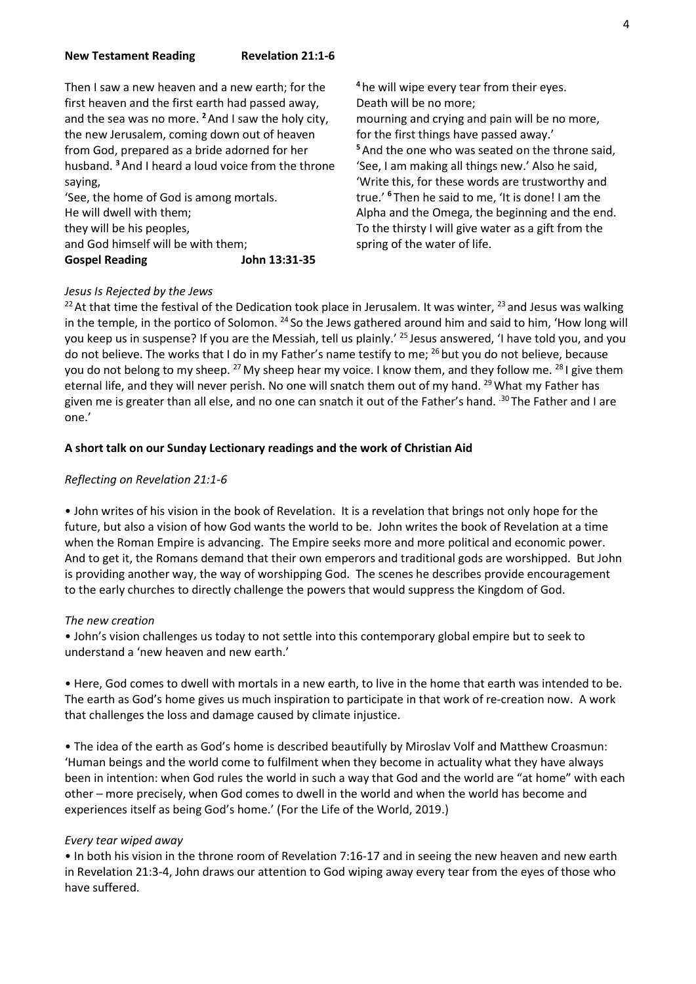Then I saw a new heaven and a new earth; for the first heaven and the first earth had passed away, and the sea was no more. <sup>2</sup> And I saw the holy city, the new Jerusalem, coming down out of heaven from God, prepared as a bride adorned for her husband. <sup>3</sup> And I heard a loud voice from the throne saying,

'See, the home of God is among mortals. He will dwell with them; they will be his peoples, and God himself will be with them; Gospel Reading John 13:31-35 <sup>4</sup> he will wipe every tear from their eyes. Death will be no more; mourning and crying and pain will be no more, for the first things have passed away.' <sup>5</sup> And the one who was seated on the throne said, 'See, I am making all things new.' Also he said, 'Write this, for these words are trustworthy and true.' <sup>6</sup>Then he said to me, 'It is done! I am the Alpha and the Omega, the beginning and the end. To the thirsty I will give water as a gift from the spring of the water of life.

# Jesus Is Rejected by the Jews

<sup>22</sup> At that time the festival of the Dedication took place in Jerusalem. It was winter,  $^{23}$  and Jesus was walking in the temple, in the portico of Solomon. <sup>24</sup> So the Jews gathered around him and said to him, 'How long will you keep us in suspense? If you are the Messiah, tell us plainly.' <sup>25</sup> Jesus answered, 'I have told you, and you do not believe. The works that I do in my Father's name testify to me; <sup>26</sup> but you do not believe, because you do not belong to my sheep. <sup>27</sup> My sheep hear my voice. I know them, and they follow me. <sup>28</sup> I give them eternal life, and they will never perish. No one will snatch them out of my hand. <sup>29</sup> What my Father has given me is greater than all else, and no one can snatch it out of the Father's hand. <sup>30</sup> The Father and I are one.'

### A short talk on our Sunday Lectionary readings and the work of Christian Aid

### Reflecting on Revelation 21:1-6

• John writes of his vision in the book of Revelation. It is a revelation that brings not only hope for the future, but also a vision of how God wants the world to be. John writes the book of Revelation at a time when the Roman Empire is advancing. The Empire seeks more and more political and economic power. And to get it, the Romans demand that their own emperors and traditional gods are worshipped. But John is providing another way, the way of worshipping God. The scenes he describes provide encouragement to the early churches to directly challenge the powers that would suppress the Kingdom of God.

### The new creation

• John's vision challenges us today to not settle into this contemporary global empire but to seek to understand a 'new heaven and new earth.'

• Here, God comes to dwell with mortals in a new earth, to live in the home that earth was intended to be. The earth as God's home gives us much inspiration to participate in that work of re-creation now. A work that challenges the loss and damage caused by climate injustice.

• The idea of the earth as God's home is described beautifully by Miroslav Volf and Matthew Croasmun: 'Human beings and the world come to fulfilment when they become in actuality what they have always been in intention: when God rules the world in such a way that God and the world are "at home" with each other – more precisely, when God comes to dwell in the world and when the world has become and experiences itself as being God's home.' (For the Life of the World, 2019.)

### Every tear wiped away

• In both his vision in the throne room of Revelation 7:16-17 and in seeing the new heaven and new earth in Revelation 21:3-4, John draws our attention to God wiping away every tear from the eyes of those who have suffered.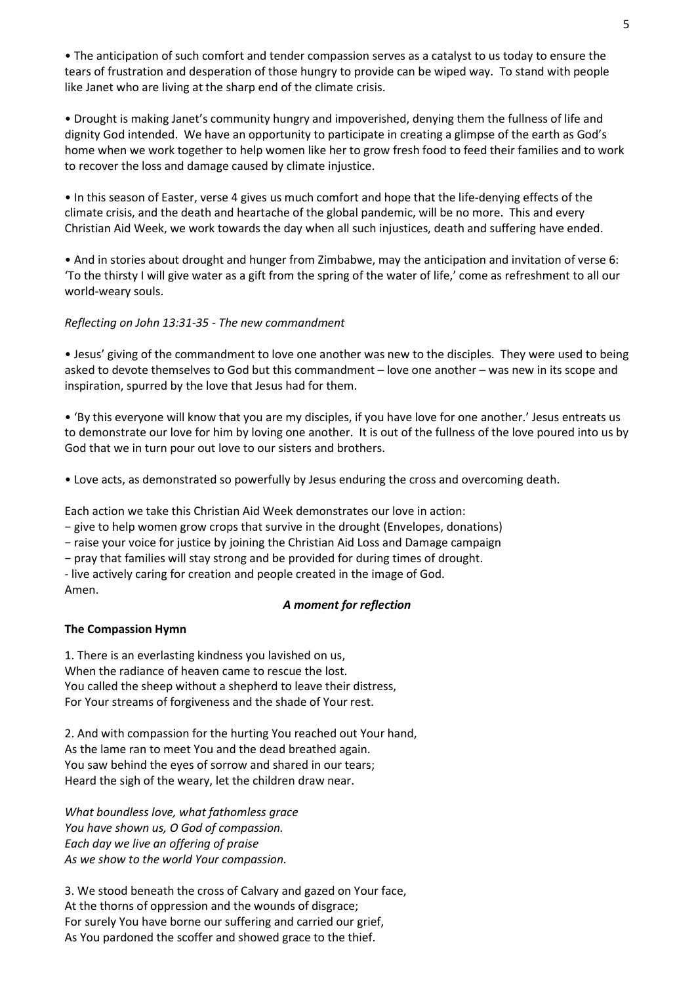• The anticipation of such comfort and tender compassion serves as a catalyst to us today to ensure the tears of frustration and desperation of those hungry to provide can be wiped way. To stand with people like Janet who are living at the sharp end of the climate crisis.

• Drought is making Janet's community hungry and impoverished, denying them the fullness of life and dignity God intended. We have an opportunity to participate in creating a glimpse of the earth as God's home when we work together to help women like her to grow fresh food to feed their families and to work to recover the loss and damage caused by climate injustice.

• In this season of Easter, verse 4 gives us much comfort and hope that the life-denying effects of the climate crisis, and the death and heartache of the global pandemic, will be no more. This and every Christian Aid Week, we work towards the day when all such injustices, death and suffering have ended.

• And in stories about drought and hunger from Zimbabwe, may the anticipation and invitation of verse 6: 'To the thirsty I will give water as a gift from the spring of the water of life,' come as refreshment to all our world-weary souls.

# Reflecting on John 13:31-35 - The new commandment

• Jesus' giving of the commandment to love one another was new to the disciples. They were used to being asked to devote themselves to God but this commandment – love one another – was new in its scope and inspiration, spurred by the love that Jesus had for them.

• 'By this everyone will know that you are my disciples, if you have love for one another.' Jesus entreats us to demonstrate our love for him by loving one another. It is out of the fullness of the love poured into us by God that we in turn pour out love to our sisters and brothers.

• Love acts, as demonstrated so powerfully by Jesus enduring the cross and overcoming death.

Each action we take this Christian Aid Week demonstrates our love in action:

− give to help women grow crops that survive in the drought (Envelopes, donations)

− raise your voice for justice by joining the Christian Aid Loss and Damage campaign

− pray that families will stay strong and be provided for during times of drought.

- live actively caring for creation and people created in the image of God.

Amen.

# A moment for reflection

# The Compassion Hymn

1. There is an everlasting kindness you lavished on us, When the radiance of heaven came to rescue the lost. You called the sheep without a shepherd to leave their distress, For Your streams of forgiveness and the shade of Your rest.

2. And with compassion for the hurting You reached out Your hand, As the lame ran to meet You and the dead breathed again. You saw behind the eyes of sorrow and shared in our tears; Heard the sigh of the weary, let the children draw near.

What boundless love, what fathomless grace You have shown us, O God of compassion. Each day we live an offering of praise As we show to the world Your compassion.

3. We stood beneath the cross of Calvary and gazed on Your face, At the thorns of oppression and the wounds of disgrace; For surely You have borne our suffering and carried our grief, As You pardoned the scoffer and showed grace to the thief.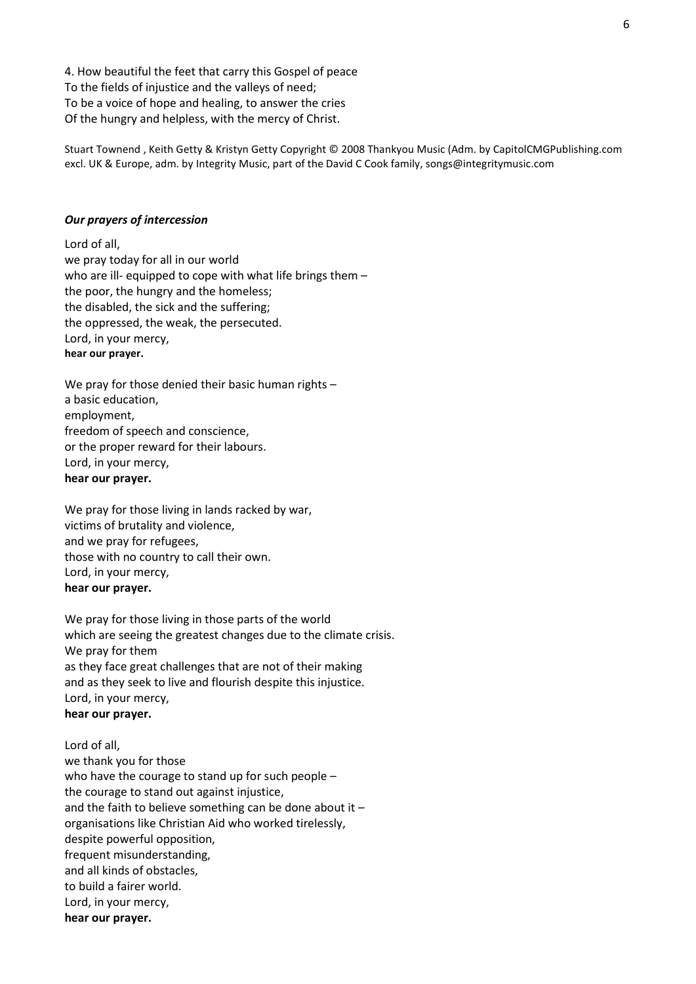4. How beautiful the feet that carry this Gospel of peace To the fields of injustice and the valleys of need; To be a voice of hope and healing, to answer the cries Of the hungry and helpless, with the mercy of Christ.

Stuart Townend , Keith Getty & Kristyn Getty Copyright © 2008 Thankyou Music (Adm. by CapitolCMGPublishing.com excl. UK & Europe, adm. by Integrity Music, part of the David C Cook family, songs@integritymusic.com

#### Our prayers of intercession

Lord of all, we pray today for all in our world who are ill- equipped to cope with what life brings them  $$ the poor, the hungry and the homeless; the disabled, the sick and the suffering; the oppressed, the weak, the persecuted. Lord, in your mercy, hear our prayer.

We pray for those denied their basic human rights – a basic education, employment, freedom of speech and conscience, or the proper reward for their labours. Lord, in your mercy, hear our prayer.

We pray for those living in lands racked by war, victims of brutality and violence, and we pray for refugees, those with no country to call their own. Lord, in your mercy, hear our prayer.

We pray for those living in those parts of the world which are seeing the greatest changes due to the climate crisis. We pray for them as they face great challenges that are not of their making and as they seek to live and flourish despite this injustice. Lord, in your mercy, hear our prayer.

Lord of all, we thank you for those who have the courage to stand up for such people – the courage to stand out against injustice, and the faith to believe something can be done about it – organisations like Christian Aid who worked tirelessly, despite powerful opposition, frequent misunderstanding, and all kinds of obstacles, to build a fairer world. Lord, in your mercy, hear our prayer.